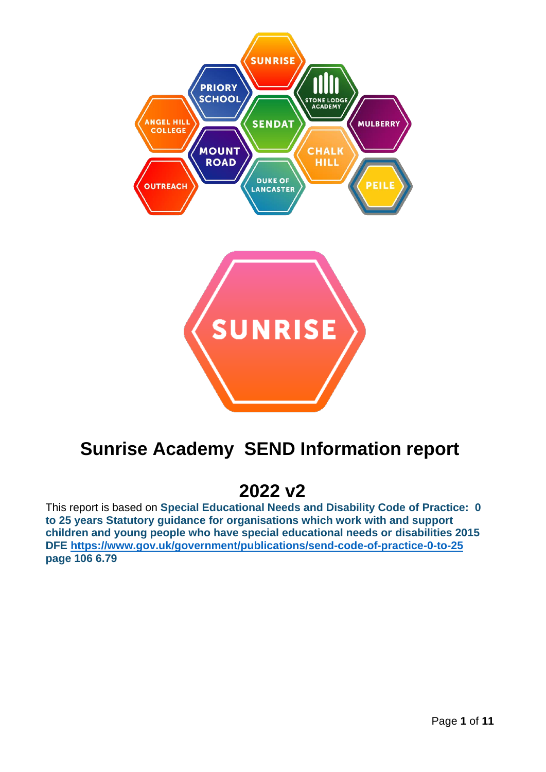

# **Sunrise Academy SEND Information report**

# **2022 v2**

This report is based on **Special Educational Needs and Disability Code of Practice: 0 to 25 years Statutory guidance for organisations which work with and support children and young people who have special educational needs or disabilities 2015 DFE<https://www.gov.uk/government/publications/send-code-of-practice-0-to-25> page 106 6.79**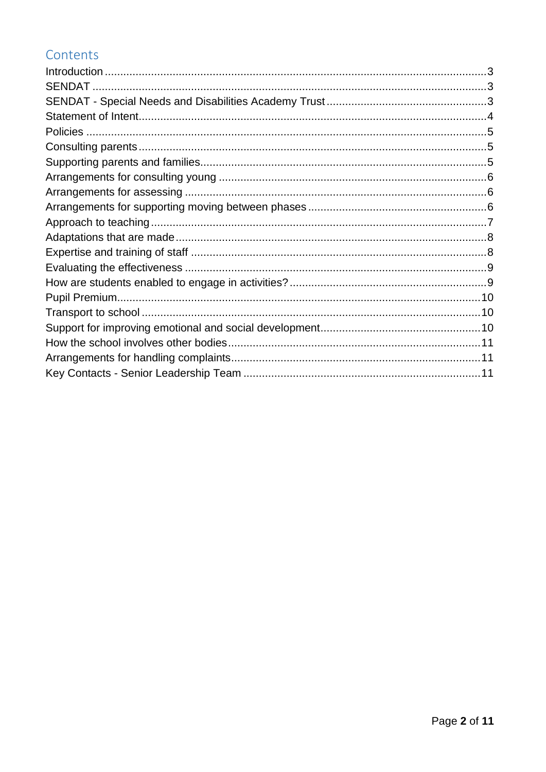### Contents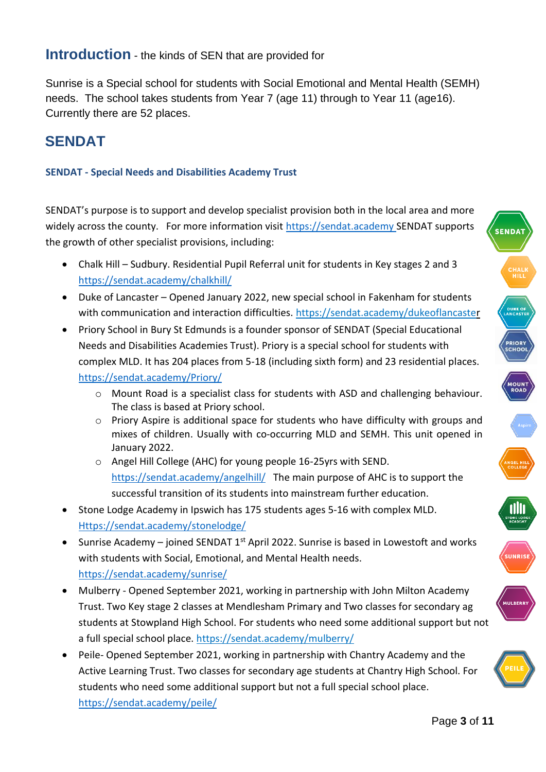### <span id="page-2-0"></span>**Introduction** - the kinds of SEN that are provided for

Sunrise is a Special school for students with Social Emotional and Mental Health (SEMH) needs. The school takes students from Year 7 (age 11) through to Year 11 (age16). Currently there are 52 places.

## <span id="page-2-1"></span>**SENDAT**

#### <span id="page-2-2"></span>**SENDAT - Special Needs and Disabilities Academy Trust**

SENDAT's purpose is to support and develop specialist provision both in the local area and more widely across the county. For more information visit [https://sendat.academy](https://sendat.academy/) SENDAT supports the growth of other specialist provisions, including:

- Chalk Hill Sudbury. Residential Pupil Referral unit for students in Key stages 2 and 3 <https://sendat.academy/chalkhill/>
- Duke of Lancaster Opened January 2022, new special school in Fakenham for students with communication and interaction difficulties.<https://sendat.academy/dukeoflancaster>
- Priory School in Bury St Edmunds is a founder sponsor of SENDAT (Special Educational Needs and Disabilities Academies Trust). Priory is a special school for students with complex MLD. It has 204 places from 5-18 (including sixth form) and 23 residential places. <https://sendat.academy/Priory/>
	- o Mount Road is a specialist class for students with ASD and challenging behaviour. The class is based at Priory school.
	- o Priory Aspire is additional space for students who have difficulty with groups and mixes of children. Usually with co-occurring MLD and SEMH. This unit opened in January 2022.
	- o Angel Hill College (AHC) for young people 16-25yrs with SEND. <https://sendat.academy/angelhill/>The main purpose of AHC is to support the successful transition of its students into mainstream further education.
- Stone Lodge Academy in Ipswich has 175 students ages 5-16 with complex MLD. [Https://sendat.academy/stonelodge/](https://sendat.academy/stonelodge/)
- Sunrise Academy joined SENDAT 1<sup>st</sup> April 2022. Sunrise is based in Lowestoft and works with students with Social, Emotional, and Mental Health needs. <https://sendat.academy/sunrise/>
- Mulberry Opened September 2021, working in partnership with John Milton Academy Trust. Two Key stage 2 classes at Mendlesham Primary and Two classes for secondary ag students at Stowpland High School. For students who need some additional support but not a full special school place.<https://sendat.academy/mulberry/>
- Peile- Opened September 2021, working in partnership with Chantry Academy and the Active Learning Trust. Two classes for secondary age students at Chantry High School. For students who need some additional support but not a full special school place. <https://sendat.academy/peile/>















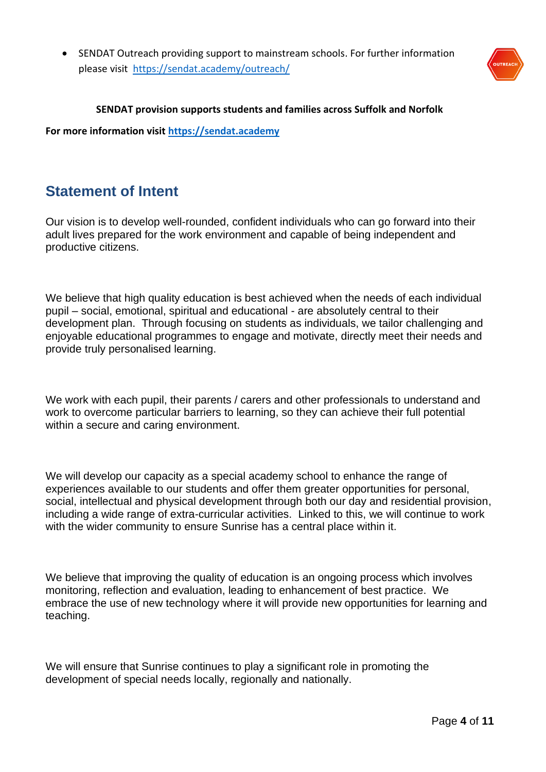• SENDAT Outreach providing support to mainstream schools. For further information please visit <https://sendat.academy/outreach/>



#### **SENDAT provision supports students and families across Suffolk and Norfolk**

**For more information visit [https://sendat.academy](https://sendat.academy/)**

#### <span id="page-3-0"></span>**Statement of Intent**

Our vision is to develop well-rounded, confident individuals who can go forward into their adult lives prepared for the work environment and capable of being independent and productive citizens.

We believe that high quality education is best achieved when the needs of each individual pupil – social, emotional, spiritual and educational - are absolutely central to their development plan. Through focusing on students as individuals, we tailor challenging and enjoyable educational programmes to engage and motivate, directly meet their needs and provide truly personalised learning.

We work with each pupil, their parents / carers and other professionals to understand and work to overcome particular barriers to learning, so they can achieve their full potential within a secure and caring environment.

We will develop our capacity as a special academy school to enhance the range of experiences available to our students and offer them greater opportunities for personal, social, intellectual and physical development through both our day and residential provision, including a wide range of extra-curricular activities. Linked to this, we will continue to work with the wider community to ensure Sunrise has a central place within it.

We believe that improving the quality of education is an ongoing process which involves monitoring, reflection and evaluation, leading to enhancement of best practice. We embrace the use of new technology where it will provide new opportunities for learning and teaching.

We will ensure that Sunrise continues to play a significant role in promoting the development of special needs locally, regionally and nationally.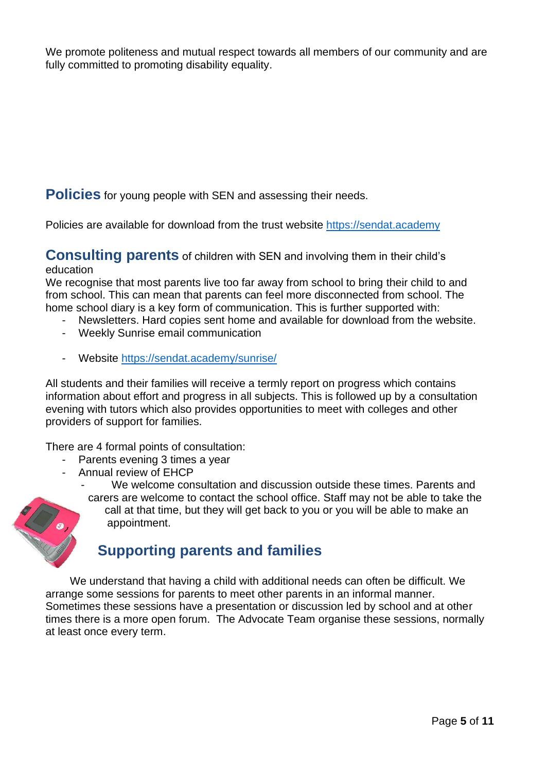We promote politeness and mutual respect towards all members of our community and are fully committed to promoting disability equality.

<span id="page-4-0"></span>**Policies** for young people with SEN and assessing their needs.

Policies are available for download from the trust website [https://sendat.academy](https://sendat.academy/)

#### <span id="page-4-1"></span>**Consulting parents** of children with SEN and involving them in their child's education

We recognise that most parents live too far away from school to bring their child to and from school. This can mean that parents can feel more disconnected from school. The home school diary is a key form of communication. This is further supported with:

- Newsletters. Hard copies sent home and available for download from the website.
- Weekly Sunrise email communication
- Website<https://sendat.academy/sunrise/>

All students and their families will receive a termly report on progress which contains information about effort and progress in all subjects. This is followed up by a consultation evening with tutors which also provides opportunities to meet with colleges and other providers of support for families.

There are 4 formal points of consultation:

- Parents evening 3 times a year
- Annual review of EHCP

We welcome consultation and discussion outside these times. Parents and carers are welcome to contact the school office. Staff may not be able to take the call at that time, but they will get back to you or you will be able to make an appointment.

### <span id="page-4-2"></span>**Supporting parents and families**

We understand that having a child with additional needs can often be difficult. We arrange some sessions for parents to meet other parents in an informal manner. Sometimes these sessions have a presentation or discussion led by school and at other times there is a more open forum. The Advocate Team organise these sessions, normally at least once every term.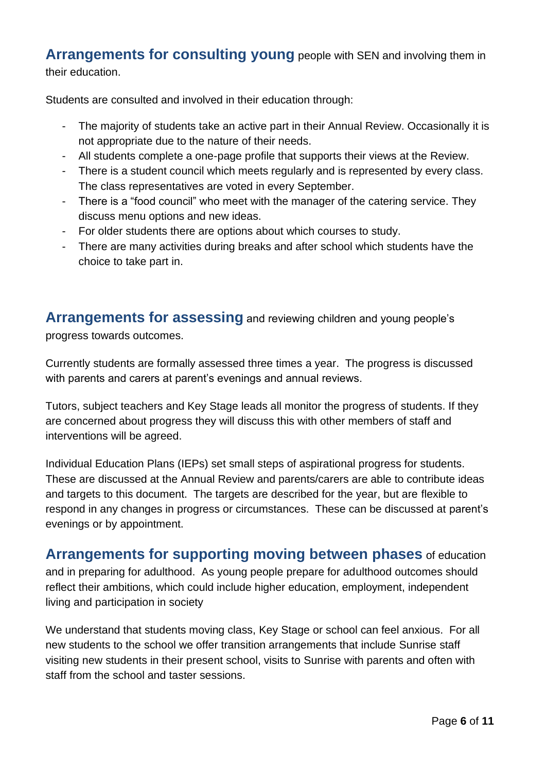#### <span id="page-5-0"></span>**Arrangements for consulting young** people with SEN and involving them in their education.

Students are consulted and involved in their education through:

- The majority of students take an active part in their Annual Review. Occasionally it is not appropriate due to the nature of their needs.
- All students complete a one-page profile that supports their views at the Review.
- There is a student council which meets regularly and is represented by every class. The class representatives are voted in every September.
- There is a "food council" who meet with the manager of the catering service. They discuss menu options and new ideas.
- For older students there are options about which courses to study.
- There are many activities during breaks and after school which students have the choice to take part in.

<span id="page-5-1"></span>**Arrangements for assessing** and reviewing children and young people's progress towards outcomes.

Currently students are formally assessed three times a year. The progress is discussed with parents and carers at parent's evenings and annual reviews.

Tutors, subject teachers and Key Stage leads all monitor the progress of students. If they are concerned about progress they will discuss this with other members of staff and interventions will be agreed.

Individual Education Plans (IEPs) set small steps of aspirational progress for students. These are discussed at the Annual Review and parents/carers are able to contribute ideas and targets to this document. The targets are described for the year, but are flexible to respond in any changes in progress or circumstances. These can be discussed at parent's evenings or by appointment.

## <span id="page-5-2"></span>**Arrangements for supporting moving between phases** of education

and in preparing for adulthood. As young people prepare for adulthood outcomes should reflect their ambitions, which could include higher education, employment, independent living and participation in society

We understand that students moving class, Key Stage or school can feel anxious. For all new students to the school we offer transition arrangements that include Sunrise staff visiting new students in their present school, visits to Sunrise with parents and often with staff from the school and taster sessions.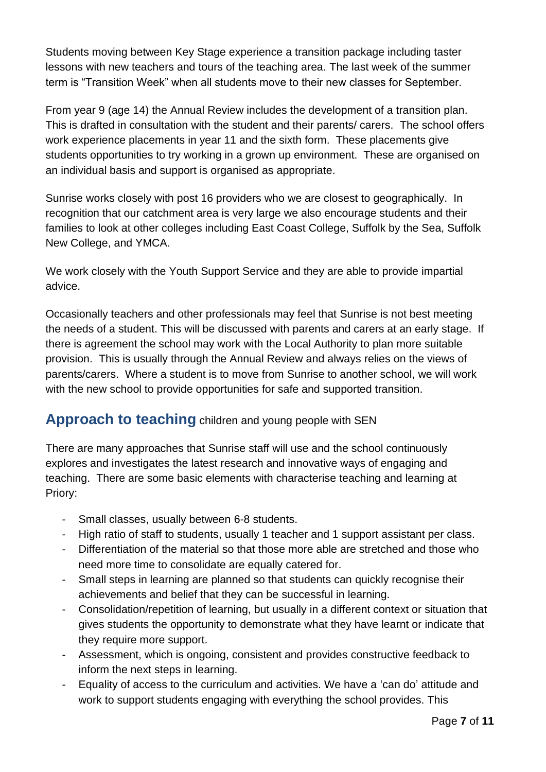Students moving between Key Stage experience a transition package including taster lessons with new teachers and tours of the teaching area. The last week of the summer term is "Transition Week" when all students move to their new classes for September.

From year 9 (age 14) the Annual Review includes the development of a transition plan. This is drafted in consultation with the student and their parents/ carers. The school offers work experience placements in year 11 and the sixth form. These placements give students opportunities to try working in a grown up environment. These are organised on an individual basis and support is organised as appropriate.

Sunrise works closely with post 16 providers who we are closest to geographically. In recognition that our catchment area is very large we also encourage students and their families to look at other colleges including East Coast College, Suffolk by the Sea, Suffolk New College, and YMCA.

We work closely with the Youth Support Service and they are able to provide impartial advice.

Occasionally teachers and other professionals may feel that Sunrise is not best meeting the needs of a student. This will be discussed with parents and carers at an early stage. If there is agreement the school may work with the Local Authority to plan more suitable provision. This is usually through the Annual Review and always relies on the views of parents/carers. Where a student is to move from Sunrise to another school, we will work with the new school to provide opportunities for safe and supported transition.

#### <span id="page-6-0"></span>**Approach to teaching** children and young people with SEN

There are many approaches that Sunrise staff will use and the school continuously explores and investigates the latest research and innovative ways of engaging and teaching. There are some basic elements with characterise teaching and learning at Priory:

- Small classes, usually between 6-8 students.
- High ratio of staff to students, usually 1 teacher and 1 support assistant per class.
- Differentiation of the material so that those more able are stretched and those who need more time to consolidate are equally catered for.
- Small steps in learning are planned so that students can quickly recognise their achievements and belief that they can be successful in learning.
- Consolidation/repetition of learning, but usually in a different context or situation that gives students the opportunity to demonstrate what they have learnt or indicate that they require more support.
- Assessment, which is ongoing, consistent and provides constructive feedback to inform the next steps in learning.
- Equality of access to the curriculum and activities. We have a 'can do' attitude and work to support students engaging with everything the school provides. This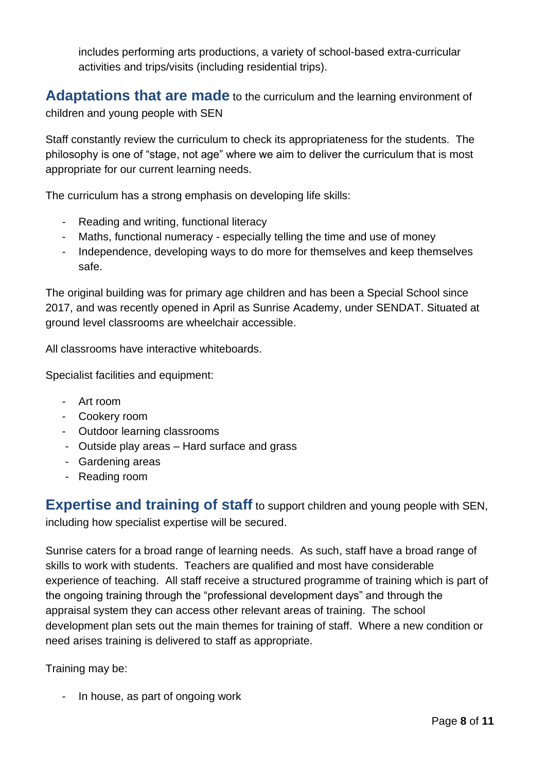includes performing arts productions, a variety of school-based extra-curricular activities and trips/visits (including residential trips).

<span id="page-7-0"></span>**Adaptations that are made** to the curriculum and the learning environment of children and young people with SEN

Staff constantly review the curriculum to check its appropriateness for the students. The philosophy is one of "stage, not age" where we aim to deliver the curriculum that is most appropriate for our current learning needs.

The curriculum has a strong emphasis on developing life skills:

- Reading and writing, functional literacy
- Maths, functional numeracy especially telling the time and use of money
- Independence, developing ways to do more for themselves and keep themselves safe.

The original building was for primary age children and has been a Special School since 2017, and was recently opened in April as Sunrise Academy, under SENDAT. Situated at ground level classrooms are wheelchair accessible.

All classrooms have interactive whiteboards.

Specialist facilities and equipment:

- Art room
- Cookery room
- Outdoor learning classrooms
- Outside play areas Hard surface and grass
- Gardening areas
- Reading room

<span id="page-7-1"></span>**Expertise and training of staff** to support children and young people with SEN, including how specialist expertise will be secured.

Sunrise caters for a broad range of learning needs. As such, staff have a broad range of skills to work with students. Teachers are qualified and most have considerable experience of teaching. All staff receive a structured programme of training which is part of the ongoing training through the "professional development days" and through the appraisal system they can access other relevant areas of training. The school development plan sets out the main themes for training of staff. Where a new condition or need arises training is delivered to staff as appropriate.

Training may be:

- In house, as part of ongoing work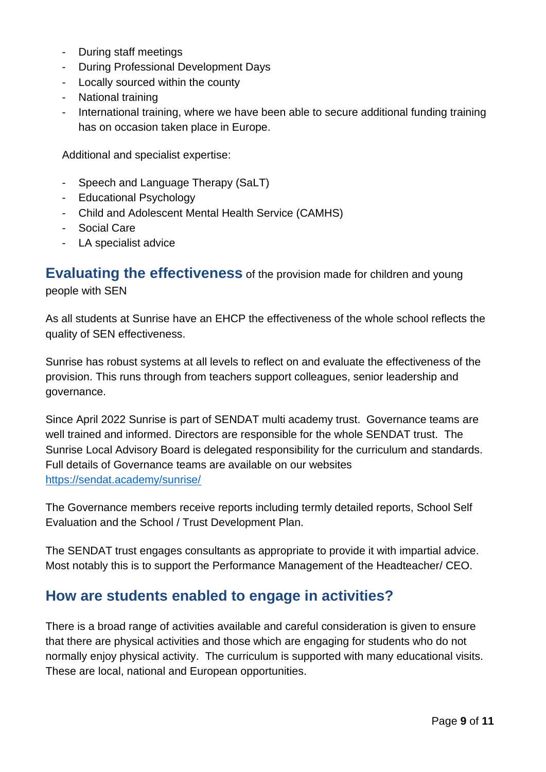- During staff meetings
- During Professional Development Days
- Locally sourced within the county
- National training
- International training, where we have been able to secure additional funding training has on occasion taken place in Europe.

Additional and specialist expertise:

- Speech and Language Therapy (SaLT)
- Educational Psychology
- Child and Adolescent Mental Health Service (CAMHS)
- Social Care
- LA specialist advice

<span id="page-8-0"></span>**Evaluating the effectiveness** of the provision made for children and young people with SEN

As all students at Sunrise have an EHCP the effectiveness of the whole school reflects the quality of SEN effectiveness.

Sunrise has robust systems at all levels to reflect on and evaluate the effectiveness of the provision. This runs through from teachers support colleagues, senior leadership and governance.

Since April 2022 Sunrise is part of SENDAT multi academy trust. Governance teams are well trained and informed. Directors are responsible for the whole SENDAT trust. The Sunrise Local Advisory Board is delegated responsibility for the curriculum and standards. Full details of Governance teams are available on our websites <https://sendat.academy/sunrise/>

The Governance members receive reports including termly detailed reports, School Self Evaluation and the School / Trust Development Plan.

The SENDAT trust engages consultants as appropriate to provide it with impartial advice. Most notably this is to support the Performance Management of the Headteacher/ CEO.

#### <span id="page-8-1"></span>**How are students enabled to engage in activities?**

There is a broad range of activities available and careful consideration is given to ensure that there are physical activities and those which are engaging for students who do not normally enjoy physical activity. The curriculum is supported with many educational visits. These are local, national and European opportunities.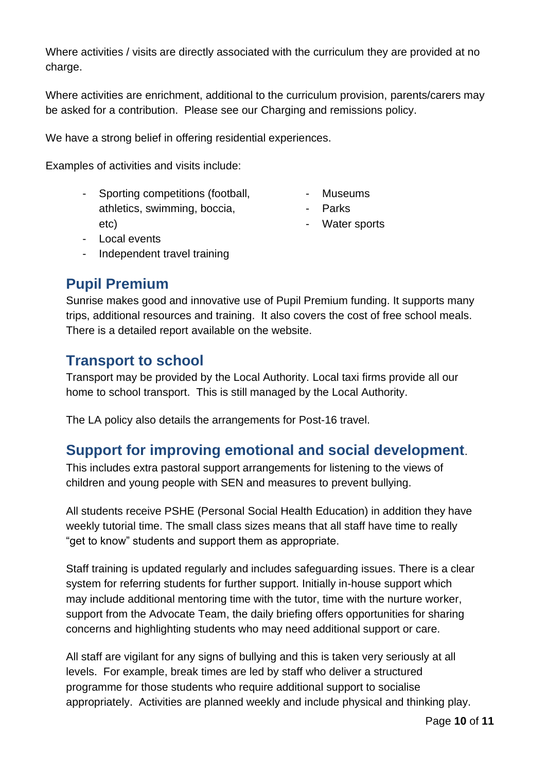Where activities / visits are directly associated with the curriculum they are provided at no charge.

Where activities are enrichment, additional to the curriculum provision, parents/carers may be asked for a contribution. Please see our Charging and remissions policy.

We have a strong belief in offering residential experiences.

Examples of activities and visits include:

- Sporting competitions (football, athletics, swimming, boccia, etc)
- Museums
	- Parks
	- Water sports

- Local events
- Independent travel training

### <span id="page-9-0"></span>**Pupil Premium**

Sunrise makes good and innovative use of Pupil Premium funding. It supports many trips, additional resources and training. It also covers the cost of free school meals. There is a detailed report available on the website.

#### <span id="page-9-1"></span>**Transport to school**

Transport may be provided by the Local Authority. Local taxi firms provide all our home to school transport. This is still managed by the Local Authority.

The LA policy also details the arrangements for Post-16 travel.

### <span id="page-9-2"></span>**Support for improving emotional and social development**.

This includes extra pastoral support arrangements for listening to the views of children and young people with SEN and measures to prevent bullying.

All students receive PSHE (Personal Social Health Education) in addition they have weekly tutorial time. The small class sizes means that all staff have time to really "get to know" students and support them as appropriate.

Staff training is updated regularly and includes safeguarding issues. There is a clear system for referring students for further support. Initially in-house support which may include additional mentoring time with the tutor, time with the nurture worker, support from the Advocate Team, the daily briefing offers opportunities for sharing concerns and highlighting students who may need additional support or care.

All staff are vigilant for any signs of bullying and this is taken very seriously at all levels. For example, break times are led by staff who deliver a structured programme for those students who require additional support to socialise appropriately. Activities are planned weekly and include physical and thinking play.